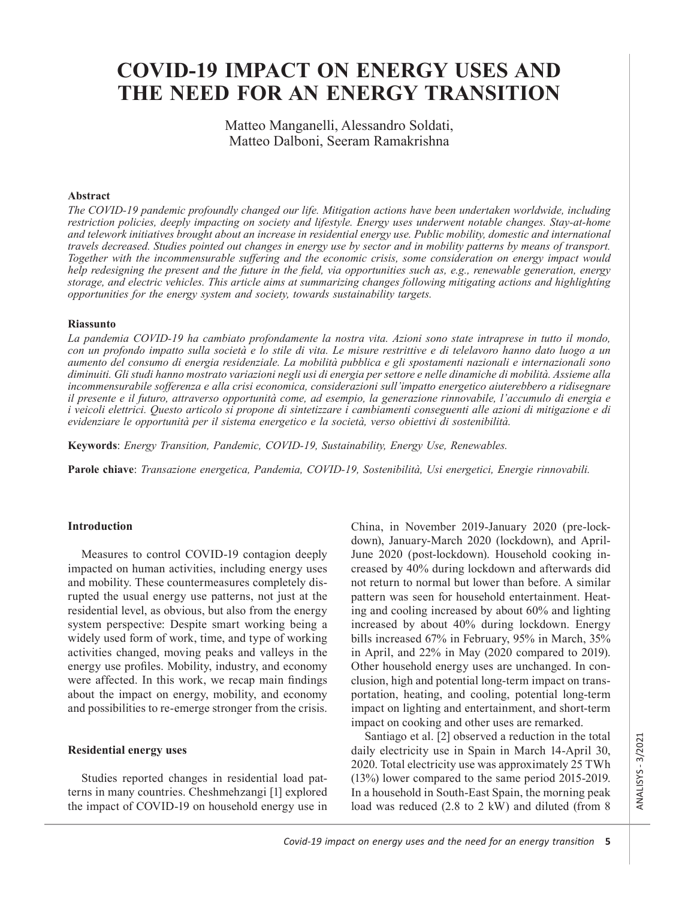# **COVID-19 IMPACT ON ENERGY USES AND THE NEED FOR AN ENERGY TRANSITION**

Matteo Manganelli, Alessandro Soldati, Matteo Dalboni, Seeram Ramakrishna

## **Abstract**

*The COVID-19 pandemic profoundly changed our life. Mitigation actions have been undertaken worldwide, including restriction policies, deeply impacting on society and lifestyle. Energy uses underwent notable changes. Stay-at-home and telework initiatives brought about an increase in residential energy use. Public mobility, domestic and international travels decreased. Studies pointed out changes in energy use by sector and in mobility patterns by means of transport. Together with the incommensurable suffering and the economic crisis, some consideration on energy impact would help redesigning the present and the future in the field, via opportunities such as, e.g., renewable generation, energy storage, and electric vehicles. This article aims at summarizing changes following mitigating actions and highlighting opportunities for the energy system and society, towards sustainability targets.*

## **Riassunto**

*La pandemia COVID-19 ha cambiato profondamente la nostra vita. Azioni sono state intraprese in tutto il mondo, con un profondo impatto sulla società e lo stile di vita. Le misure restrittive e di telelavoro hanno dato luogo a un aumento del consumo di energia residenziale. La mobilità pubblica e gli spostamenti nazionali e internazionali sono diminuiti. Gli studi hanno mostrato variazioni negli usi di energia per settore e nelle dinamiche di mobilità. Assieme alla incommensurabile sofferenza e alla crisi economica, considerazioni sull'impatto energetico aiuterebbero a ridisegnare il presente e il futuro, attraverso opportunità come, ad esempio, la generazione rinnovabile, l'accumulo di energia e i veicoli elettrici. Questo articolo si propone di sintetizzare i cambiamenti conseguenti alle azioni di mitigazione e di evidenziare le opportunità per il sistema energetico e la società, verso obiettivi di sostenibilità.*

**Keywords**: *Energy Transition, Pandemic, COVID-19, Sustainability, Energy Use, Renewables.*

**Parole chiave**: *Transazione energetica, Pandemia, COVID-19, Sostenibilità, Usi energetici, Energie rinnovabili.*

## **Introduction**

Measures to control COVID-19 contagion deeply impacted on human activities, including energy uses and mobility. These countermeasures completely disrupted the usual energy use patterns, not just at the residential level, as obvious, but also from the energy system perspective: Despite smart working being a widely used form of work, time, and type of working activities changed, moving peaks and valleys in the energy use profiles. Mobility, industry, and economy were affected. In this work, we recap main findings about the impact on energy, mobility, and economy and possibilities to re-emerge stronger from the crisis.

## **Residential energy uses**

Studies reported changes in residential load patterns in many countries. Cheshmehzangi [1] explored the impact of COVID-19 on household energy use in China, in November 2019-January 2020 (pre-lockdown), January-March 2020 (lockdown), and April-June 2020 (post-lockdown). Household cooking increased by 40% during lockdown and afterwards did not return to normal but lower than before. A similar pattern was seen for household entertainment. Heating and cooling increased by about 60% and lighting increased by about 40% during lockdown. Energy bills increased 67% in February, 95% in March, 35% in April, and 22% in May (2020 compared to 2019). Other household energy uses are unchanged. In conclusion, high and potential long-term impact on transportation, heating, and cooling, potential long-term impact on lighting and entertainment, and short-term impact on cooking and other uses are remarked.

Santiago et al. [2] observed a reduction in the total daily electricity use in Spain in March 14-April 30, 2020. Total electricity use was approximately 25 TWh (13%) lower compared to the same period 2015-2019. In a household in South-East Spain, the morning peak load was reduced (2.8 to 2 kW) and diluted (from 8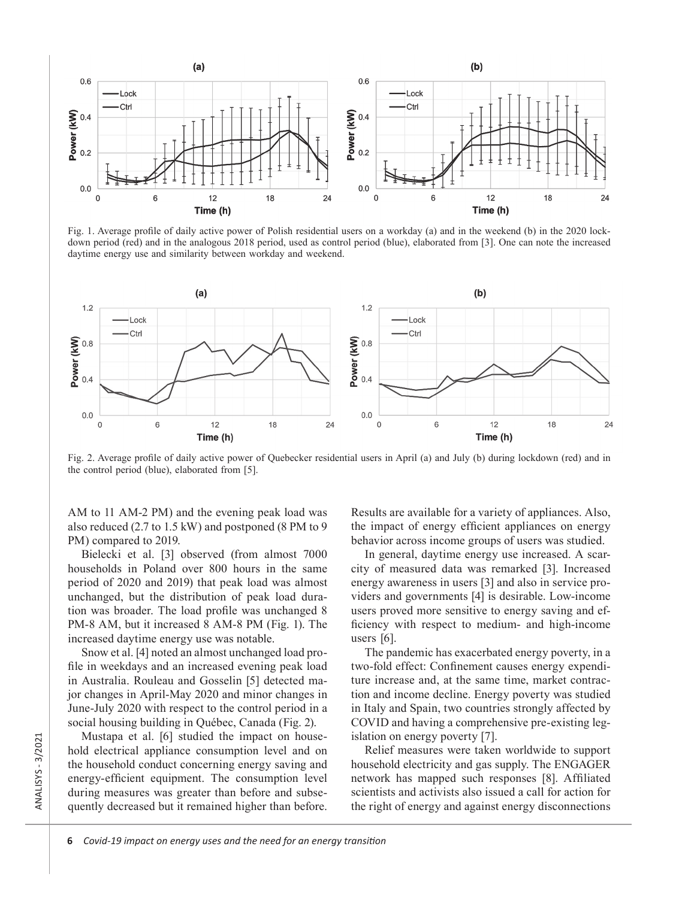

Fig. 1. Average profile of daily active power of Polish residential users on a workday (a) and in the weekend (b) in the 2020 lockdown period (red) and in the analogous 2018 period, used as control period (blue), elaborated from [3]. One can note the increased daytime energy use and similarity between workday and weekend.



Fig. 2. Average profile of daily active power of Quebecker residential users in April (a) and July (b) during lockdown (red) and in the control period (blue), elaborated from [5].

AM to 11 AM-2 PM) and the evening peak load was also reduced (2.7 to 1.5 kW) and postponed (8 PM to 9 PM) compared to 2019.

Bielecki et al. [3] observed (from almost 7000 households in Poland over 800 hours in the same period of 2020 and 2019) that peak load was almost unchanged, but the distribution of peak load duration was broader. The load profile was unchanged 8 PM-8 AM, but it increased 8 AM-8 PM (Fig. 1). The increased daytime energy use was notable.

Snow et al. [4] noted an almost unchanged load profile in weekdays and an increased evening peak load in Australia. Rouleau and Gosselin [5] detected major changes in April-May 2020 and minor changes in June-July 2020 with respect to the control period in a social housing building in Québec, Canada (Fig. 2).

Mustapa et al. [6] studied the impact on household electrical appliance consumption level and on the household conduct concerning energy saving and energy-efficient equipment. The consumption level during measures was greater than before and subsequently decreased but it remained higher than before. Results are available for a variety of appliances. Also, the impact of energy efficient appliances on energy behavior across income groups of users was studied.

In general, daytime energy use increased. A scarcity of measured data was remarked [3]. Increased energy awareness in users [3] and also in service providers and governments [4] is desirable. Low-income users proved more sensitive to energy saving and efficiency with respect to medium- and high-income users [6].

The pandemic has exacerbated energy poverty, in a two-fold effect: Confinement causes energy expenditure increase and, at the same time, market contraction and income decline. Energy poverty was studied in Italy and Spain, two countries strongly affected by COVID and having a comprehensive pre-existing legislation on energy poverty [7].

Relief measures were taken worldwide to support household electricity and gas supply. The ENGAGER network has mapped such responses [8]. Affiliated scientists and activists also issued a call for action for the right of energy and against energy disconnections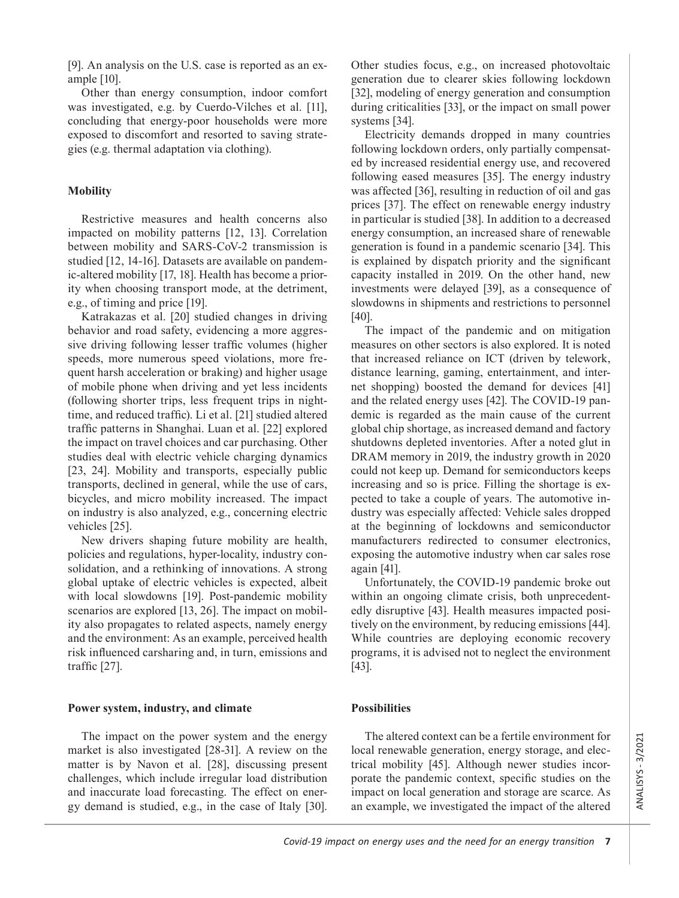[9]. An analysis on the U.S. case is reported as an example [10].

Other than energy consumption, indoor comfort was investigated, e.g. by Cuerdo-Vilches et al. [11], concluding that energy-poor households were more exposed to discomfort and resorted to saving strategies (e.g. thermal adaptation via clothing).

# **Mobility**

Restrictive measures and health concerns also impacted on mobility patterns [12, 13]. Correlation between mobility and SARS-CoV-2 transmission is studied [12, 14-16]. Datasets are available on pandemic-altered mobility [17, 18]. Health has become a priority when choosing transport mode, at the detriment, e.g., of timing and price [19].

Katrakazas et al. [20] studied changes in driving behavior and road safety, evidencing a more aggressive driving following lesser traffic volumes (higher speeds, more numerous speed violations, more frequent harsh acceleration or braking) and higher usage of mobile phone when driving and yet less incidents (following shorter trips, less frequent trips in nighttime, and reduced traffic). Li et al. [21] studied altered traffic patterns in Shanghai. Luan et al. [22] explored the impact on travel choices and car purchasing. Other studies deal with electric vehicle charging dynamics [23, 24]. Mobility and transports, especially public transports, declined in general, while the use of cars, bicycles, and micro mobility increased. The impact on industry is also analyzed, e.g., concerning electric vehicles [25].

New drivers shaping future mobility are health, policies and regulations, hyper-locality, industry consolidation, and a rethinking of innovations. A strong global uptake of electric vehicles is expected, albeit with local slowdowns [19]. Post-pandemic mobility scenarios are explored [13, 26]. The impact on mobility also propagates to related aspects, namely energy and the environment: As an example, perceived health risk influenced carsharing and, in turn, emissions and traffic [27].

## **Power system, industry, and climate**

The impact on the power system and the energy market is also investigated [28-31]. A review on the matter is by Navon et al. [28], discussing present challenges, which include irregular load distribution and inaccurate load forecasting. The effect on energy demand is studied, e.g., in the case of Italy [30].

Other studies focus, e.g., on increased photovoltaic generation due to clearer skies following lockdown [32], modeling of energy generation and consumption during criticalities [33], or the impact on small power systems [34].

Electricity demands dropped in many countries following lockdown orders, only partially compensated by increased residential energy use, and recovered following eased measures [35]. The energy industry was affected [36], resulting in reduction of oil and gas prices [37]. The effect on renewable energy industry in particular is studied [38]. In addition to a decreased energy consumption, an increased share of renewable generation is found in a pandemic scenario [34]. This is explained by dispatch priority and the significant capacity installed in 2019. On the other hand, new investments were delayed [39], as a consequence of slowdowns in shipments and restrictions to personnel [40].

The impact of the pandemic and on mitigation measures on other sectors is also explored. It is noted that increased reliance on ICT (driven by telework, distance learning, gaming, entertainment, and internet shopping) boosted the demand for devices [41] and the related energy uses [42]. The COVID-19 pandemic is regarded as the main cause of the current global chip shortage, as increased demand and factory shutdowns depleted inventories. After a noted glut in DRAM memory in 2019, the industry growth in 2020 could not keep up. Demand for semiconductors keeps increasing and so is price. Filling the shortage is expected to take a couple of years. The automotive industry was especially affected: Vehicle sales dropped at the beginning of lockdowns and semiconductor manufacturers redirected to consumer electronics, exposing the automotive industry when car sales rose again [41].

Unfortunately, the COVID-19 pandemic broke out within an ongoing climate crisis, both unprecedentedly disruptive [43]. Health measures impacted positively on the environment, by reducing emissions [44]. While countries are deploying economic recovery programs, it is advised not to neglect the environment [43].

# **Possibilities**

The altered context can be a fertile environment for local renewable generation, energy storage, and electrical mobility [45]. Although newer studies incorporate the pandemic context, specific studies on the impact on local generation and storage are scarce. As an example, we investigated the impact of the altered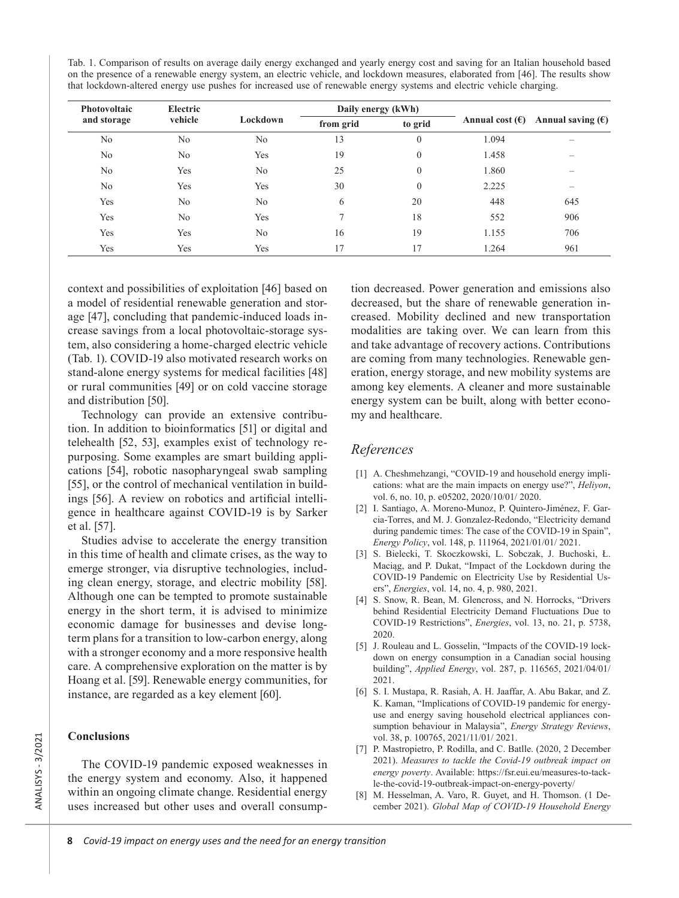Tab. 1. Comparison of results on average daily energy exchanged and yearly energy cost and saving for an Italian household based on the presence of a renewable energy system, an electric vehicle, and lockdown measures, elaborated from [46]. The results show that lockdown-altered energy use pushes for increased use of renewable energy systems and electric vehicle charging.

| Photovoltaic<br>and storage | Electric<br>vehicle |                | Daily energy (kWh) |                  |                          |                            |
|-----------------------------|---------------------|----------------|--------------------|------------------|--------------------------|----------------------------|
|                             |                     | Lockdown       | from grid          | to grid          | Annual cost $(\epsilon)$ | Annual saving $(\epsilon)$ |
| No                          | No                  | N <sub>0</sub> | 13                 | $\boldsymbol{0}$ | 1.094                    | -                          |
| No                          | No                  | Yes            | 19                 | 0                | 1.458                    |                            |
| No                          | Yes                 | No             | 25                 | $\mathbf{0}$     | 1.860                    | -                          |
| No                          | Yes                 | Yes            | 30                 | $\mathbf{0}$     | 2.225                    | -                          |
| Yes                         | No                  | No             | 6                  | 20               | 448                      | 645                        |
| Yes                         | No.                 | Yes            |                    | 18               | 552                      | 906                        |
| Yes                         | Yes                 | N <sub>o</sub> | 16                 | 19               | 1.155                    | 706                        |
| Yes                         | Yes                 | Yes            | 17                 | 17               | 1.264                    | 961                        |

context and possibilities of exploitation [46] based on a model of residential renewable generation and storage [47], concluding that pandemic-induced loads increase savings from a local photovoltaic-storage system, also considering a home-charged electric vehicle (Tab. 1). COVID-19 also motivated research works on stand-alone energy systems for medical facilities [48] or rural communities [49] or on cold vaccine storage and distribution [50].

Technology can provide an extensive contribution. In addition to bioinformatics [51] or digital and telehealth [52, 53], examples exist of technology repurposing. Some examples are smart building applications [54], robotic nasopharyngeal swab sampling [55], or the control of mechanical ventilation in buildings [56]. A review on robotics and artificial intelligence in healthcare against COVID-19 is by Sarker et al. [57].

Studies advise to accelerate the energy transition in this time of health and climate crises, as the way to emerge stronger, via disruptive technologies, including clean energy, storage, and electric mobility [58]. Although one can be tempted to promote sustainable energy in the short term, it is advised to minimize economic damage for businesses and devise longterm plans for a transition to low-carbon energy, along with a stronger economy and a more responsive health care. A comprehensive exploration on the matter is by Hoang et al. [59]. Renewable energy communities, for instance, are regarded as a key element [60].

# **Conclusions**

The COVID-19 pandemic exposed weaknesses in the energy system and economy. Also, it happened within an ongoing climate change. Residential energy uses increased but other uses and overall consumption decreased. Power generation and emissions also decreased, but the share of renewable generation increased. Mobility declined and new transportation modalities are taking over. We can learn from this and take advantage of recovery actions. Contributions are coming from many technologies. Renewable generation, energy storage, and new mobility systems are among key elements. A cleaner and more sustainable energy system can be built, along with better economy and healthcare.

# *References*

- [1] A. Cheshmehzangi, "COVID-19 and household energy implications: what are the main impacts on energy use?", *Heliyon*, vol. 6, no. 10, p. e05202, 2020/10/01/ 2020.
- [2] I. Santiago, A. Moreno-Munoz, P. Quintero-Jiménez, F. Garcia-Torres, and M. J. Gonzalez-Redondo, "Electricity demand during pandemic times: The case of the COVID-19 in Spain", *Energy Policy*, vol. 148, p. 111964, 2021/01/01/ 2021.
- [3] S. Bielecki, T. Skoczkowski, L. Sobczak, J. Buchoski, Ł. Maciąg, and P. Dukat, "Impact of the Lockdown during the COVID-19 Pandemic on Electricity Use by Residential Users", *Energies*, vol. 14, no. 4, p. 980, 2021.
- [4] S. Snow, R. Bean, M. Glencross, and N. Horrocks, "Drivers behind Residential Electricity Demand Fluctuations Due to COVID-19 Restrictions", *Energies*, vol. 13, no. 21, p. 5738, 2020.
- [5] J. Rouleau and L. Gosselin, "Impacts of the COVID-19 lockdown on energy consumption in a Canadian social housing building", *Applied Energy*, vol. 287, p. 116565, 2021/04/01/ 2021.
- [6] S. I. Mustapa, R. Rasiah, A. H. Jaaffar, A. Abu Bakar, and Z. K. Kaman, "Implications of COVID-19 pandemic for energyuse and energy saving household electrical appliances consumption behaviour in Malaysia", *Energy Strategy Reviews*, vol. 38, p. 100765, 2021/11/01/ 2021.
- [7] P. Mastropietro, P. Rodilla, and C. Batlle. (2020, 2 December 2021). *Measures to tackle the Covid-19 outbreak impact on energy poverty*. Available: https://fsr.eui.eu/measures-to-tackle-the-covid-19-outbreak-impact-on-energy-poverty/
- [8] M. Hesselman, A. Varo, R. Guyet, and H. Thomson. (1 December 2021). *Global Map of COVID-19 Household Energy*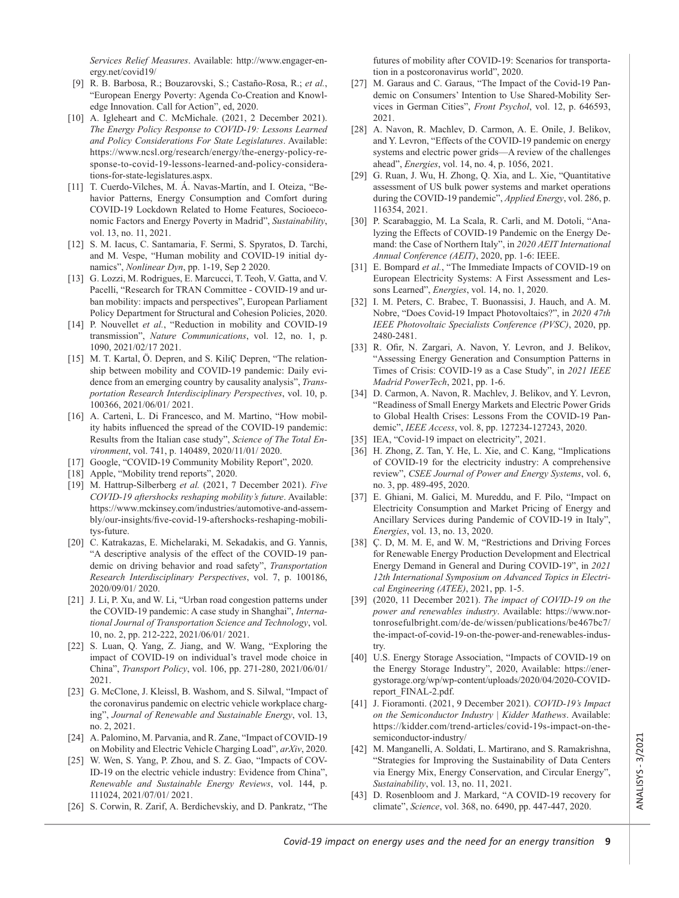*Services Relief Measures*. Available: http://www.engager-energy.net/covid19/

- [9] R. B. Barbosa, R.; Bouzarovski, S.; Castaño-Rosa, R.; *et al.*, "European Energy Poverty: Agenda Co-Creation and Knowledge Innovation. Call for Action", ed, 2020.
- [10] A. Igleheart and C. McMichale. (2021, 2 December 2021). *The Energy Policy Response to COVID-19: Lessons Learned and Policy Considerations For State Legislatures*. Available: https://www.ncsl.org/research/energy/the-energy-policy-response-to-covid-19-lessons-learned-and-policy-considerations-for-state-legislatures.aspx.
- [11] T. Cuerdo-Vilches, M. Á. Navas-Martín, and I. Oteiza, "Behavior Patterns, Energy Consumption and Comfort during COVID-19 Lockdown Related to Home Features, Socioeconomic Factors and Energy Poverty in Madrid", *Sustainability*, vol. 13, no. 11, 2021.
- [12] S. M. Iacus, C. Santamaria, F. Sermi, S. Spyratos, D. Tarchi, and M. Vespe, "Human mobility and COVID-19 initial dynamics", *Nonlinear Dyn*, pp. 1-19, Sep 2 2020.
- [13] G. Lozzi, M. Rodrigues, E. Marcucci, T. Teoh, V. Gatta, and V. Pacelli, "Research for TRAN Committee - COVID-19 and urban mobility: impacts and perspectives", European Parliament Policy Department for Structural and Cohesion Policies, 2020.
- [14] P. Nouvellet *et al.*, "Reduction in mobility and COVID-19 transmission", *Nature Communications*, vol. 12, no. 1, p. 1090, 2021/02/17 2021.
- [15] M. T. Kartal, Ö. Depren, and S. KiliC Depren, "The relationship between mobility and COVID-19 pandemic: Daily evidence from an emerging country by causality analysis", *Transportation Research Interdisciplinary Perspectives*, vol. 10, p. 100366, 2021/06/01/ 2021.
- [16] A. Cartenì, L. Di Francesco, and M. Martino, "How mobility habits influenced the spread of the COVID-19 pandemic: Results from the Italian case study", *Science of The Total Environment*, vol. 741, p. 140489, 2020/11/01/ 2020.
- [17] Google, "COVID-19 Community Mobility Report", 2020.
- [18] Apple, "Mobility trend reports", 2020.
- [19] M. Hattrup-Silberberg *et al.* (2021, 7 December 2021). *Five COVID-19 aftershocks reshaping mobility's future*. Available: https://www.mckinsey.com/industries/automotive-and-assembly/our-insights/five-covid-19-aftershocks-reshaping-mobilitys-future.
- [20] C. Katrakazas, E. Michelaraki, M. Sekadakis, and G. Yannis, "A descriptive analysis of the effect of the COVID-19 pandemic on driving behavior and road safety", *Transportation Research Interdisciplinary Perspectives*, vol. 7, p. 100186, 2020/09/01/ 2020.
- [21] J. Li, P. Xu, and W. Li, "Urban road congestion patterns under the COVID-19 pandemic: A case study in Shanghai", *International Journal of Transportation Science and Technology*, vol. 10, no. 2, pp. 212-222, 2021/06/01/ 2021.
- [22] S. Luan, Q. Yang, Z. Jiang, and W. Wang, "Exploring the impact of COVID-19 on individual's travel mode choice in China", *Transport Policy*, vol. 106, pp. 271-280, 2021/06/01/ 2021.
- [23] G. McClone, J. Kleissl, B. Washom, and S. Silwal, "Impact of the coronavirus pandemic on electric vehicle workplace charging", *Journal of Renewable and Sustainable Energy*, vol. 13, no. 2, 2021.
- [24] A. Palomino, M. Parvania, and R. Zane, "Impact of COVID-19 on Mobility and Electric Vehicle Charging Load", *arXiv*, 2020.
- [25] W. Wen, S. Yang, P. Zhou, and S. Z. Gao, "Impacts of COV-ID-19 on the electric vehicle industry: Evidence from China", *Renewable and Sustainable Energy Reviews*, vol. 144, p. 111024, 2021/07/01/ 2021.
- [26] S. Corwin, R. Zarif, A. Berdichevskiy, and D. Pankratz, "The

futures of mobility after COVID-19: Scenarios for transportation in a postcoronavirus world", 2020.

- [27] M. Garaus and C. Garaus, "The Impact of the Covid-19 Pandemic on Consumers' Intention to Use Shared-Mobility Services in German Cities", *Front Psychol*, vol. 12, p. 646593, 2021.
- [28] A. Navon, R. Machlev, D. Carmon, A. E. Onile, J. Belikov, and Y. Levron, "Effects of the COVID-19 pandemic on energy systems and electric power grids—A review of the challenges ahead", *Energies*, vol. 14, no. 4, p. 1056, 2021.
- [29] G. Ruan, J. Wu, H. Zhong, Q. Xia, and L. Xie, "Quantitative assessment of US bulk power systems and market operations during the COVID-19 pandemic", *Applied Energy*, vol. 286, p. 116354, 2021.
- [30] P. Scarabaggio, M. La Scala, R. Carli, and M. Dotoli, "Analyzing the Effects of COVID-19 Pandemic on the Energy Demand: the Case of Northern Italy", in *2020 AEIT International Annual Conference (AEIT)*, 2020, pp. 1-6: IEEE.
- [31] E. Bompard et al., "The Immediate Impacts of COVID-19 on European Electricity Systems: A First Assessment and Lessons Learned", *Energies*, vol. 14, no. 1, 2020.
- [32] I. M. Peters, C. Brabec, T. Buonassisi, J. Hauch, and A. M. Nobre, "Does Covid-19 Impact Photovoltaics?", in *2020 47th IEEE Photovoltaic Specialists Conference (PVSC)*, 2020, pp. 2480-2481.
- [33] R. Ofir, N. Zargari, A. Navon, Y. Levron, and J. Belikov, "Assessing Energy Generation and Consumption Patterns in Times of Crisis: COVID-19 as a Case Study", in *2021 IEEE Madrid PowerTech*, 2021, pp. 1-6.
- [34] D. Carmon, A. Navon, R. Machlev, J. Belikov, and Y. Levron, "Readiness of Small Energy Markets and Electric Power Grids to Global Health Crises: Lessons From the COVID-19 Pandemic", *IEEE Access*, vol. 8, pp. 127234-127243, 2020.
- [35] IEA, "Covid-19 impact on electricity", 2021.
- [36] H. Zhong, Z. Tan, Y. He, L. Xie, and C. Kang, "Implications of COVID-19 for the electricity industry: A comprehensive review", *CSEE Journal of Power and Energy Systems*, vol. 6, no. 3, pp. 489-495, 2020.
- [37] E. Ghiani, M. Galici, M. Mureddu, and F. Pilo, "Impact on Electricity Consumption and Market Pricing of Energy and Ancillary Services during Pandemic of COVID-19 in Italy", *Energies*, vol. 13, no. 13, 2020.
- [38] C. D, M. M. E, and W. M, "Restrictions and Driving Forces for Renewable Energy Production Development and Electrical Energy Demand in General and During COVID-19", in *2021 12th International Symposium on Advanced Topics in Electrical Engineering (ATEE)*, 2021, pp. 1-5.
- [39] (2020, 11 December 2021). *The impact of COVID-19 on the power and renewables industry*. Available: https://www.nortonrosefulbright.com/de-de/wissen/publications/be467bc7/ the-impact-of-covid-19-on-the-power-and-renewables-industry.
- [40] U.S. Energy Storage Association, "Impacts of COVID-19 on the Energy Storage Industry", 2020, Available: https://energystorage.org/wp/wp-content/uploads/2020/04/2020-COVIDreport\_FINAL-2.pdf.
- [41] J. Fioramonti. (2021, 9 December 2021). *COVID-19's Impact on the Semiconductor Industry | Kidder Mathews*. Available: https://kidder.com/trend-articles/covid-19s-impact-on-thesemiconductor-industry/
- [42] M. Manganelli, A. Soldati, L. Martirano, and S. Ramakrishna, "Strategies for Improving the Sustainability of Data Centers via Energy Mix, Energy Conservation, and Circular Energy", *Sustainability*, vol. 13, no. 11, 2021.
- [43] D. Rosenbloom and J. Markard, "A COVID-19 recovery for climate", *Science*, vol. 368, no. 6490, pp. 447-447, 2020.